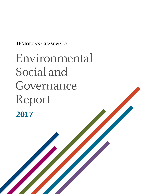JPMORGAN CHASE & CO.

# Environmental Social and Governance Report 2017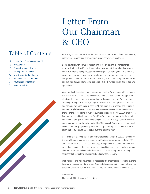# Table of Contents

- 2 Letter From Our Chairman & CEO
- 3 [Introduction](#page-2-0)
- 8 [Promoting Sound Governance](#page-7-0)
- 12 [Serving Our Customers](#page-12-0)
- 16 [Investing in Our Employees](#page-15-0)
- 21 [Supporting Our Communities](#page-20-0)

- 24 Advancing Sustainability
- 31 [Key ESG Statistics](#page-30-0)

# Letter From Our Chairman & CEO

At JPMorgan Chase, we work hard to earn the trust and respect of our shareholders, employees, customers and the communities we serve every single day.

Doing so starts with our uncompromising focus on getting the fundamentals right, which includes effectively managing environmental, social and governance matters. It means having robust Board oversight; risk management and controls; promoting a strong culture that values fairness and accountability; delivering exceptional service for our customers; investing in and supporting our people and our communities; and advancing sustainability both for our clients and in our own operations.

When we do all these things well, we position our Firm for success – which allows us to do even more of what banks do best: provide the capital needed to support our clients and customers and help strengthen the broader economy. This is what we are doing through a \$20 billion, five-year investment in our employees, branches and communities announced in early 2018. We know that attracting and retaining talented people is essential to our success, so we are increasing our investment in them. For the second time in two years, we are raising wages for 22,000 employees. For employees making between \$12 and \$16.50 an hour, we have raised wages to between \$15 and \$18 an hour, depending on local cost of living. Our Firm will also open hundreds of new branches and add 4,000 jobs in U.S. markets, increase small business and mortgage lending, and boost our philanthropic investments in local communities by 40% to \$1.75 billion over the next five years.

Our Firm is also stepping up our commitment to sustainability. In 2017, we announced that we will source renewable energy for 100% of our global power needs by 2020 and facilitate \$200 billion in clean financing through 2025. These commitments build on our long-standing efforts to advance sustainability in our business and operations. They also reflect our belief that business must play a leadership role in creating solutions that protect the environment and grow the economy.

Well-managed and well-governed businesses are the ones that are successful over the long-term. They are also the engines of our global economy. In this report, I invite you to learn more about how we are working across our Firm to be that kind of business.

**Jamie Dimon** Chairman & CEO, JPMorgan Chase & Co.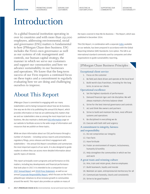[SUPPORTING OUR](#page-20-0)  [COMMUNITIES](#page-20-0)

# <span id="page-2-0"></span>Introduction

As a global financial institution operating in over 60 countries and with more than 252,000 employees, addressing environmental, social and governance (ESG) matters is fundamental to how JPMorgan Chase does business. ESG includes the Firm's own governance as well as our systems of risk management and controls, our human capital strategy, the manner in which we serve our customers and support our communities and how we advance sustainability in our businesses and operations. We know that the long-term success of our Firm requires a continued focus on these topics and a commitment to regularly evaluating how we are doing and challenging ourselves to improve.

# About This Report

JPMorgan Chase is committed to engaging with our many stakeholders and to being transparent about how we do business. One way we do this is by publishing this annual ESG Report, which provides information on how we are addressing ESG matters that we and our stakeholders view as among the most important to our business. We also maintain a dedicated [ESG Information](https://www.jpmorganchase.com/corporate/About-JPMC/esg.htm) page on our website to facilitate access to the wide range of information and resources that we publish on these topics.

While we share information about our ESG performance through a number of channels — including various reports and presentations, regulatory filings, press releases and direct engagement with stakeholders — the annual ESG Report consolidates and summarizes the most important aspects of our work. It is also designed to guide readers to where they can access more detailed information about specific topics of interest.

This report principally covers programs and performance on ESG matters, including key developments and financial performance that took place in 2017. It is intended to be a companion to our [2017 Annual Report](https://www.jpmorganchase.com/corporate/investor-relations/document/annualreport-2017.pdf) and [2018 Proxy Statement](https://www.jpmorganchase.com/corporate/investor-relations/document/proxy-statement2018.pdf), as well as our annual [Corporate Responsibility Report](https://reports.jpmorganchase.com/corporate-responsibility/2017/cr-2017-home.htm), which focuses on the Firm's philanthropic initiatives to drive inclusive growth in communities around the world. This report also provides an update on many of

the topics covered in How We Do Business — The Report, which was published in December 2014.

This ESG Report, in combination with a separate [Index](https://www.jpmorganchase.com/corporate/Corporate-Responsibility/document/jpmc-cr-gri-2017.pdf) available on our website, has been prepared in accordance with the Global Reporting Initiative (GRI) Standards: Core option. The GRI is an international standard commonly used by companies and other organizations to guide sustainability reporting.

### JPMorgan Chase Business Principles

#### Exceptional client service

- 1. Focus on the customer
- 2. Be field and client driven and operate at the local level
- 3. Build world-class franchises, investing for the long term, to serve our clients

#### Operational excellence

- 4. Set the highest standards of performance
- 5. Demand financial rigor and risk discipline: We will always maintain a fortress balance sheet
- 6. Strive for the best internal governance and controls
- 7. Act and think like owners and partners
- 8. Strive to build and maintain the best, most efficient systems and operations
- 9. Be disciplined in everything we do
- 10. Execute with both skill and urgency

#### A commitment to integrity, fairness and responsibility

- 11. Do not compromise our integrity
- 12. Face facts
- 13. Have fortitude
- 14. Foster an environment of respect, inclusiveness, humanity & humility
- 15. Help strengthen the communities in which we live and work

#### A great team and winning culture

- 16. Hire, train and retain great, diverse employees
- 17. Build teamwork, loyalty and morale
- 18. Maintain an open, entrepreneurial meritocracy for all
- 19. Communicate honestly, clearly and consistently
- 20. Strive to be good leaders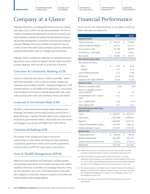## Company at a Glance

JPMorgan Chase & Co. is a leading global financial services company with assets of \$2.5 trillion and operations worldwide. The Firm is a leader in investment banking, financial services for consumers and small businesses, commercial banking, financial transaction processing and asset management. A component of the Dow Jones Industrial Average, JPMorgan Chase serves millions of consumers in the U.S. as well as many of the world's most prominent corporate, institutional and government clients, under its J.P. Morgan and Chase brands.

JPMorgan Chase's activities are organized, for management reporting purposes, into a Corporate segment and four major reportable business segments, which we refer to as the lines of business.

### Consumer & Community Banking (CCB)

CCB has a relationship with about 61 million households — almost half of the households in the U.S. We serve people, families and businesses across multiple channels — including through over 5,100 branches and over 16,000 ATMs and through the No. 1 most visited online banking portal in the U.S. We help people bank, save, invest, make purchases with credit cards and finance homes and vehicles.

### Corporate & Investment Bank (CIB)

CIB offers a suite of investment banking, market-making, prime brokerage, and treasury and securities products and services to a global client base. In general, the CIB's clients can be categorized as corporations, governmental entities, central banks and asset owners and managers (e.g., pension and hedge funds, family offices).

### Commercial Banking (CB)

CB provides credit, banking and treasury services to approximately 19,000 clients, including mid-sized businesses, corporations, government entities and nonprofit organizations, as well as about 34,000 real estate owners and investors.

### Asset & Wealth Management (AWM)

AWM serves both individuals and institutions, including pension and sovereign wealth funds, central banks and many of the world's wealthiest individuals and families. By managing money for clients, we help individuals retire more comfortably, pension funds meet their obligations, universities reinvest in research and facilities and wealthy families ensure lasting legacies.

As of or for the year ended December 31 (in millions, except per share, ratio data and headcount)

<span id="page-3-1"></span><span id="page-3-0"></span>

|                                                            | 2017          | 2016                |  |
|------------------------------------------------------------|---------------|---------------------|--|
| Reported basis <sup>(a)</sup>                              |               |                     |  |
| Total net revenue                                          | \$<br>99,624  | \$<br>95,668        |  |
| Total noninterest expense                                  | 58,434        | 55,771              |  |
| Pre-provision profit                                       | 41,190        | 39,897              |  |
| Provision for credit losses                                | 5,290         | 5,361               |  |
| Net income                                                 | \$<br>24,441  | \$<br>24,733        |  |
| Per common share data                                      |               |                     |  |
| Net income per share:                                      |               |                     |  |
| <b>Basic</b>                                               | \$<br>6.35    | \$<br>6.24          |  |
| Diluted                                                    | 6.31          | 6.19                |  |
| Cash dividends declared                                    | 2.12          | 1.88                |  |
| Book value                                                 | 67.04         | 64.06               |  |
| Tangible book value (TBVPS) <sup>(b)</sup>                 | 53.56         | 51.44               |  |
| <b>Selected ratios</b>                                     |               |                     |  |
| Return on common equity                                    | 10%           | 10%                 |  |
| Return on tangible common<br>equity (ROTCE) <sup>(b)</sup> | 12            | 13                  |  |
| Common equity Tier 1 capital<br>ratio <sup>(c)</sup>       | 12.1          | 12.2                |  |
| Tier 1 capital ratio <sup>(c)</sup>                        | 13.8          | 13.9 <sup>(d)</sup> |  |
| Total capital ratio <sup>(c)</sup>                         | 15.7          | 15.2                |  |
| Selected balance sheet data<br>(period-end)                |               |                     |  |
| Loans                                                      | \$<br>930,697 | \$<br>894,765       |  |
| Total assets                                               | 2,533,600     | 2,490,972           |  |
| <b>Deposits</b>                                            | 1,433,982     | 1,375,179           |  |
| Common stockholders' equity                                | 229,625       | 228,122             |  |
| Total stockholders' equity                                 | 255,693       | 254,190             |  |
| Market data                                                |               |                     |  |
| Closing share price                                        | \$<br>106.94  | \$<br>86.29         |  |
| Market capitalization                                      | 366,301       | 307,295             |  |
| Common shares at period-end                                | 3,425.3       | 3,561.2             |  |
| Headcount                                                  | 252.539       | 243,355             |  |

<span id="page-3-2"></span>(a) Results are presented in accordance with accounting principles generally accepted in the United States of America, except where otherwise noted.

- (b) TBVPS and ROTCE are each non-GAAP financial measures. For further discussion of these measures, see Explanation and Reconciliation of the Firm's Use of Non-GAAP Financial Measures and Key Financial Performance Measures on pages 52–54 of JPMorgan Chase's 2017 Annual Report in Form 10-K[.](#page-3-1)
- (c) The ratios presented are calculated under the Basel III Advanced Fully Phased-In Approach, and they are key regulatory capital measures. For further discussion, see "Capital Risk Management" on pages 82-91 of JPMorgan Chase's 2017 Annual Report in Form 10-K.
- (d) [The prior period ratio has been revised to conform with the current period](#page-3-2)  [presentation.](#page-3-2)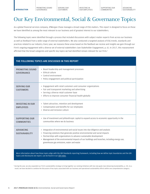# Our Key Environmental, Social & Governance Topics

As a global financial services company, JPMorgan Chase manages a broad range of ESG matters. This report is designed to focus on those we have identified as among the most relevant to our business and of greatest interest to our stakeholders.

The following topics were identified through a process that included discussions with subject matter experts from across our business as well as feedback from a wide range of external stakeholders. We also conducted a targeted analysis of ESG trends, standards and practices related to our industry. Every year, we reassess these areas based on the feedback we receive and insights we gain through our Firm's ongoing engagement with a diverse set of external stakeholders (see Stakeholder Engagement, p. 6). In 2017, this reassessment affirmed that the broad categories and specific key topics we had identified remain relevant for our Firm.<sup>1</sup>

#### **THE FOLLOWING TOPICS ARE DISCUSSED IN THIS REPORT**

| <b>PROMOTING SOUND</b><br><b>GOVERNANCE</b>                                                                                                                                                                        | + Board leadership and management processes<br>+ Ethical culture<br>+ Control environment<br>+ Policy engagement and political participation                                                                                                                                                                                                                                             |  |  |  |
|--------------------------------------------------------------------------------------------------------------------------------------------------------------------------------------------------------------------|------------------------------------------------------------------------------------------------------------------------------------------------------------------------------------------------------------------------------------------------------------------------------------------------------------------------------------------------------------------------------------------|--|--|--|
| <b>SERVING OUR</b><br><b>CUSTOMERS</b>                                                                                                                                                                             | + Engagement with retail customers and consumer organizations<br>+ Fair and transparent marketing and advertising<br>+ Serving a diverse retail customer base<br>+ Efforts to improve consumer financial health globally                                                                                                                                                                 |  |  |  |
| <b>INVESTING IN OUR</b><br><b>EMPLOYEES</b>                                                                                                                                                                        | + Talent attraction, retention and development<br>+ Compensation and benefits for our employees<br>+ Diverse and inclusive culture                                                                                                                                                                                                                                                       |  |  |  |
| <b>SUPPORTING OUR</b><br><b>COMMUNITIES</b>                                                                                                                                                                        | + Use of investment and philanthropic capital to expand access to economic opportunity in the<br>communities where we do business                                                                                                                                                                                                                                                        |  |  |  |
| <b>ADVANCING</b><br><b>SUSTAINABILITY</b>                                                                                                                                                                          | + Integration of environmental and social issues into due diligence and analysis<br>+ Financing solutions that generate positive environmental and social impacts<br>+ Partnerships with organizations to advance sustainable development<br>+ Management of the environmental impacts of our buildings and branches, including energy use,<br>greenhouse gas emissions, water and waste |  |  |  |
| More information about how these topics align with the GRI Standards reporting framework, including how we define topic boundaries and the GRI<br>topics and disclosures we report, can be found in our GRI Index. |                                                                                                                                                                                                                                                                                                                                                                                          |  |  |  |

<sup>1</sup> During the year, we also expanded our Firm's sustainability strategy to bring together our existing initiatives with two new goals (see Advancing Sustainability, p. 24). As a result, we have decided to combine the discussion of key topics associated with our business and operational sustainability efforts within one comprehensive category.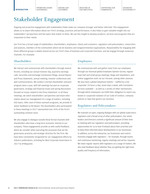[SUPPORTING OUR](#page-20-0)  [COMMUNITIES](#page-20-0)

# Stakeholder Engagement

Ongoing and proactive engagement with stakeholders helps make our company stronger and better informed. This engagement allows us to share information about our Firm's strategy, practices and performance. It also helps us gain valuable insight into our stakeholders' perspectives and the topics that matter to them. We use this insight to develop products, services and programs that are responsive to their needs.

Our Firm has a broad range of stakeholders: shareholders, employees, clients and customers, regulators and policymakers, researchers and analysts, members of the communities where we do business and nongovernmental organizations. Responsibility for engaging with these different groups is widely shared across our Firm's lines of business and corporate functions, and we engage through numerous channels. For example:

### **Shareholders**

We interact and communicate with shareholders through several forums, including our annual Investor Day, quarterly earnings calls, Securities and Exchange Commission filings, Annual Report and Proxy Statement, annual meeting, investor conferences and web communications. We conduct a formal shareholder outreach program twice a year, with fall meetings focused on corporate governance, strategy and financial issues and spring discussions focused on issues related to the Proxy Statement. In all these meetings, we solicit shareholders' perspectives and share information about our management of a range of matters, including ESG topics. After each of these outreach programs, we provide investor feedback to the Board. The shareholders who participated in these meetings in 2017 represented over 45% of the Firm's outstanding common stock.

We also engage in dialogue outside these formal channels with shareholders who have a long-term economic interest in our company. These engagements provide us with useful feedback, which we consider when executing the processes that set the governance practices and strategic direction for the Firm. We have been consistently recognized for our engagement efforts by industry publications, including for Best Corporate Governance in 2017 by *IR Magazine*.

### Employees

We communicate with and gather input from our employees through our biannual global Employee Opinion Survey, regular town hall and small group meetings, blogs and newsletters, and online suggestion tools via our intranet, among other avenues. We also have a global telephone hotline – staffed by a live responder 24 hours a day, seven days a week, with translation services available — as well as a variety of other mechanisms through which employees can fulfill their obligation to report any known or suspected violation of our Code of Conduct, company policies or laws that govern our business.

### Regulators and Policymakers

We maintain an open, ongoing dialogue with our global supervisory regulators and a broad array of other policymakers. Our senior leaders and Directors commit a significant amount of their time to meeting with our regulators and policymakers, providing opportunities for us to hear firsthand about their priorities and to keep them informed about developments in our businesses. In addition, across the enterprise, our businesses and control functions engage with regulators — for example, through exams and continuous monitoring, regular meetings and ad hoc requests. We share regular reports with regulators on a range of matters. We also seek feedback about whether they are getting the right level, quality and frequency of information.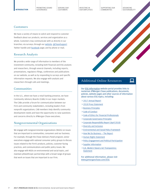#### **[INTRODUCTION](#page-2-0)**

[PROMOTING SOUND](#page-7-0)  [GOVERNANCE](#page-7-0)

[SERVING OUR](#page-12-0)  [CUSTOMERS](#page-12-0)

[INVESTING IN](#page-15-0)  [OUR EMPLOYEES](#page-15-0) [SUPPORTING OUR](#page-20-0)  [COMMUNITIES](#page-20-0)

ADVANCING SUSTAINABILITY

므

#### **Customers**

We have a variety of means to solicit and respond to customer feedback about our products, services and organization as a whole. Customers may communicate with us directly in our branches; via surveys; through our [website](https://www.jpmorganchase.com/), [@ChaseSupport](https://twitter.com/ChaseSupport) Twitter handle and [Facebook](https://www.facebook.com/jpmorganchase) page; and by phone or mail.

#### Research Analysts

We provide a wide range of information to members of the investment community, including both financial and ESG analysts and researchers, through several channels, including reports, presentations, regulatory filings, conferences and publications on our website, as well as by responding to surveys and specific information requests. We also engage with analysts and researchers through calls and meetings.

#### **Communities**

In the U.S., where we have a retail banking presence, we have Community Advisory Boards (CABs) in our major markets. The CABs provide a forum for communication between our Firm and community stakeholders, including leaders from nonprofit organizations. CAB members help identify community development needs and have the opportunity to raise questions and concerns directly to JPMorgan Chase executives.

#### Nongovernmental Organizations

We engage with nongovernmental organizations (NGOs) on issues that are important to communities, consumers and our business. For example, through the Chase Advisory Panel program, senior executives engage with national consumer policy groups to discuss issues related to the Firm's products, policies, customer-facing practices, and communications and public policy issues. We also engage with NGOs on environmental and social topics, and maintain philanthropic partnerships with a broad range of groups that work on issues that are important to our Firm.



### Additional Online Resources

Our [ESG Information](https://www.jpmorganchase.com/corporate/About-JPMC/esg.htm) website portal provides links to numerous JPMorgan Chase publications, documents, policies, website pages and other sources of information about various ESG topics, including:

- ö [2017 Annual Report](https://www.jpmorganchase.com/corporate/investor-relations/document/annualreport-2017.pdf)
- ö [2018 Proxy Statement](https://www.jpmorganchase.com/corporate/investor-relations/document/proxy-statement2018.pdf)
- ö [Business Principles](https://www.jpmorganchase.com/corporate/About-JPMC/ab-business-principles.htm)
- > [Code of Conduct](https://www.jpmorganchase.com/corporate/About-JPMC/ab-code-of-ethics.htm)
- ö [Code of Ethics for Financial Professionals](https://www.jpmorganchase.com/corporate/About-JPMC/ab-code-of-ethics.htm)
- ö [Corporate Governance Principles](https://www.jpmorganchase.com/corporate/About-JPMC/ab-corporate-governance-principles.htm)
- ö [Corporate Responsibility Report \(April 2018\)](http://www.jpmorganchase.com/CR2017)
- ö [Diversity and Inclusion](https://www.jpmorganchase.com/corporate/About-JPMC/diversity.htm)
- ö [Environmental and Social Policy Framework](https://www.jpmorganchase.com/corporate/Corporate-Responsibility/document/jpmc-environmental-and-social-policy-framework.pdf)
- > How We Do Business The Report
- ö [Human Rights Statement](https://www.jpmorganchase.com/corporate/About-JPMC/ab-human-rights.htm)
- ö [Policy Engagement and Political Participation](https://www.jpmorganchase.com/corporate/About-JPMC/ab-political-activities.htm)
- > [Supplier Information](https://www.jpmorganchase.com/corporate/About-JPMC/ab-supplier-relations.htm)
- ö [U.K. Modern Slavery Act Transparency](https://www.jpmorganchase.com/corporate/Corporate-Responsibility/document/modern-slavery-act.pdf)  **[Statement](https://www.jpmorganchase.com/corporate/Corporate-Responsibility/document/modern-slavery-act.pdf)**

For additional information, please visit [www.jpmorganchase.com/E](https://www.jpmorganchase.com/corporate/About-JPMC/esg.htm)SG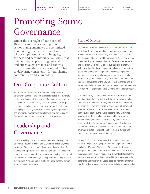**PROMOTING SOUND GOVERNANCE**

SERVING OUR<br>CUSTOMERS

[INVESTING IN](#page-15-0)  [OUR EMPLOYEES](#page-15-0) [SUPPORTING OUR](#page-20-0)  [COMMUNITIES](#page-20-0)

ADVANCING SUSTAINABILITY

# <span id="page-7-0"></span>Promoting Sound Governance

Under the oversight of our Board of Directors and the leadership of our senior management, we are committed to operating in an environment in which all our employees act with integrity, fairness and accountability. We know that outstanding people, strong leadership and effective governance and controls are the foundation of success and central to delivering consistently for our clients, communities and shareholders.

## Our Corporate Culture

We remain steadfast in our commitment to rigorously and consistently adhere to the high ethical standards that our shareholders, regulators and others expect of us, and that we expect of ourselves. This includes clearly articulating Business Principles, promoting sound governance and the right tone from the top, having in place strong leadership and management processes, and providing a management development and compensation framework that properly incents appropriate behaviors.

## Leadership and Governance

Broadly speaking, our senior management team develops the company's strategic direction and oversees its execution, while the Board of Directors is charged with providing oversight of management's performance. The Board and senior management team also remain committed to fostering an effective and efficient risk and control environment, including a continued emphasis on our Business Principles and cultivating a strong cohesive culture across all levels of the Firm.

### Board of Directors

The Board's Corporate Governance Principles and the charters of the Board's principal standing committees, available on our website, form the framework for governance of the Firm. A deeply engaged Board is vital to our company's success, and our Directors bring a strong combination of executive experience and skills that are aligned with our business and strategy, including related to risk management and controls, regulatory issues, management development and succession planning, and financial reporting and accounting, among others. All of our Directors, other than our CEO, are independent, under the standards established by the New York Stock Exchange and the Firm's independence standards. We also have a Lead Independent Director, who is appointed annually by the independent Directors.

Our annual [Proxy Statement](https://www.jpmorganchase.com/corporate/investor-relations/document/proxy-statement2018.pdf) contains information about the membership and responsibilities of the five principal standing committees of the Board. Among their various responsibilities, the committees oversee a range of environmental, social and governance matters, in accordance with the scope of their charters. For example, the Public Responsibility Committee has oversight of fair lending and sustainability (including environmental and human rights matters), among other topics, while the Compensation & Management Development Committee's oversight of executive compensation and benefit programs includes consideration of progress in culture and conduct, and teamwork and leadership.

Through its Corporate Governance & Nominating Committee, the Board engages in ongoing consideration of potential Board candidates. JPMorgan Chase seeks Director candidates who will uphold the highest standards; are committed to the Firm's values; and will be strong, independent stewards of shareholders' long-term interests. In addition to considering professional skills, experience and integrity, the Board looks for individuals who will contribute diverse viewpoints to enhance its independent oversight.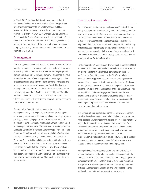**[PROMOTING SOUND](#page-7-0)  [GOVERNANCE](#page-7-0)**

SERVING OUR<br>CUSTOMERS

In March 2018, the Board of Directors announced that it had elected Mellody Hobson, President of the Chicago-based investment management firm Ariel Investments, LLC, as a Director of the company. The Board also announced the retirement effective May 2018 of Crandall Bowles, Chairman Emeritus of the Springs Company, who has served on the Board since 2006. With the appointment of Ms. Hobson, we will have added two new independent Directors in the past three years bringing the average tenure of our independent Directors to 8.7 years as of May 2018.

#### Management

Our management structure is designed to enhance our ability to lead the company as a whole, as well as each of our businesses, effectively and in a manner that promotes a strong corporate culture and is consistent with our corporate standards. We have found that the most effective approach is to manage on a line of business basis, coupled with strong corporate functions and appropriate governance of the company's subsidiaries. The management structure of each line of business mirrors that of the company as a whole. Each business is led by a CEO and has a Chief Financial Officer, Chief Risk Officer, Chief Compliance Officer, Chief Control Officer, General Counsel, Human Resources Executive and Chief Auditor.

The Operating Committee is the company's most senior management body; it is responsible for the overall management of the company, including developing and implementing corporate strategy and managing operations. Currently, five of the 11 members of our Operating Committee are women. In early 2018, Robin Leopold became Head of Human Resources and joined the Operating Committee in her role. Other new appointments to the Operating Committee include Lori Beer, Global Chief Information Officer, who joined in 2017, and Peter Scher, Global Head of Corporate Responsibility and Chairman of the Mid-Atlantic Region, who joined in 2018. In addition, in early 2018, we announced that Daniel Pinto, CEO of the Corporate & Investment Bank, and Gordon Smith, CEO of Consumer & Community Banking, would also become Co-Presidents and Co-Chief Operating Officers of the company, working closely with our CEO to drive critical firmwide opportunities.

[INVESTING IN](#page-15-0)  [OUR EMPLOYEES](#page-15-0) [SUPPORTING OUR](#page-20-0)  [COMMUNITIES](#page-20-0)

#### Executive Compensation

The Firm's compensation program plays a significant role in our ability to attract, retain and properly motivate the highest-quality workforce to support the Firm in achieving key goals and driving sustained shareholder value. We believe that the effectiveness of our executive compensation program is dependent on the alignment of our pay practices with our compensation philosophy, which is focused on promoting an equitable and well-governed approach to compensation, being responsive to and aligned with shareholders' interests, and encouraging a shared success culture in support of our Business Principles.

The Compensation & Management Development Committee (CMDC) of the Board maintains independent oversight of our compensation programs. In determining individual compensation decisions for Operating Committee members, the CMDC uses a balanced and discretionary approach to assess performance against each individual's goals associated with four broad categories: (i) Business Results; (ii) Risk, Controls & Conduct, including feedback received from the Firm's risk and control professionals; (iii) Client/Customer Focus, which includes our engagement in communities and encompasses a variety of environmental, social and governancerelated factors and measures; and (iv) Teamwork & Leadership, including creating a diverse and inclusive environment that encourages employees to speak up.

Our compensation program is designed to incentivize long-term, sustainable decision-making and to hold individuals accountable, when appropriate, for meaningful actions or issues that negatively impact business performance in current or future years. To do so we maintain policies and procedures that enable us to take prompt and proportionate actions with respect to accountable individuals, including (i) reduction of annual incentive compensation; (ii) cancellation of unvested awards; (iii) clawback of previously paid compensation; and (iv) other employmentrelated actions, including termination of employment.

We regularly review our compensation program and actively seek out and consider shareholder feedback in making potential changes. In 2017, shareholders demonstrated strong support for our program with a 92% vote in favor of our annual resolution to approve executive compensation. Our 2018 Proxy Statement includes a Compensation Discussion and Analysis section that outlines further details of our executive pay program.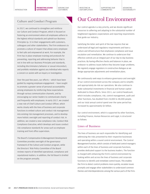SERVING OUR<br>CUSTOMERS

[INVESTING IN](#page-15-0)  [OUR EMPLOYEES](#page-15-0) [SUPPORTING OUR](#page-20-0)  [COMMUNITIES](#page-20-0)

ADVANCING SUSTAINABILITY

#### Culture and Conduct Program

In 2017, we continued to strengthen and reinforce our Culture and Conduct Program, which is focused on fostering an environment where all employees adhere to the highest ethical standards and uphold our Business Principles (p. 3) in their engagements with customers, colleagues and other stakeholders. The Firm endeavors to promote a culture of respect that allows every employee to feel safe and empowered at work. For example, the Firm has in place employee training and protocols for preventing, reporting and addressing behavior that is not in line with our Business Principles and standards, including discriminatory behavior or sexual misconduct, and prohibits retaliation against any individual who reports a concern or assists with an inquiry or investigation.

Over the past few years, our efforts — which have been guided by ongoing employee engagement — have sought to promote a greater sense of personal accountability among employees by reinforcing these expectations through various communication channels, and by encouraging our senior leaders to communicate clearly and frequently with employees. In early 2017, we created a new role of Chief Culture and Conduct Officer, which works closely with the lines of business and corporate functions to embed culture and conduct risk management into existing risk management processes, and to develop more holistic oversight and reporting of conduct risk. In addition, we created a new compliance role, Conduct Risk Compliance Executive, which develops and issues conduct risk compliance standards for areas such as employee training and front office supervision.

The Board's Compensation & Management Development Committee provides oversight of the governance framework of the Culture and Conduct program, while the Directors' Risk Policy Committee of the Board reviews reports of identified operational, compliance and reputational matters. In addition, the full Board is briefed on the program annually.

### Our Control Environment

Our control agenda is a key priority, and we devote significant resources to adhering and adapting to the substantial number of heightened regulatory expectations and reporting requirements that guide our industry.

Satisfying the letter and spirit of the law requires that we understand all legal and regulatory requirements and have a culture and infrastructure that emphasize compliance and issue escalation and remediation. We continue to underscore that effective controls are an integral part of our day-to-day business practices. By having effective checks and balances in place, we endeavor to address issues before they become larger problems. We regularly engage regulators in constructive dialogue as we design appropriate adjustments and remediation plans.

We continuously seek ways to enhance governance and oversight of our control environment across the company and to simplify and appropriately de-risk our operations. We also continue to make substantial investments in financial and human capital dedicated to these efforts. Since 2011, our control headcount, which includes compliance, risk, control management, audit and other functions, has doubled from 24,000 to 48,000 people, and our total annual control spend over the same period has increased by approximately \$3 billion.

Our control environment, which is supported by other functions, including Finance, Human Resources and Legal, is structured as follows:

#### Lines of Business

The lines of business are each responsible for identifying and addressing the risks presented by their respective businesses and operating within a sound control environment. The Control Management function, which consists of dedicated control managers within each of the lines of business and corporate functions, provides dedicated support to the business leaders. The function is charged with enhancing the Firm's control environment by looking within and across the lines of business and corporate functions to identify and remediate control issues. This enables the Firm to detect control problems more quickly, escalate issues promptly and engage other stakeholders to understand common themes and interdependencies among the various parts of the Firm.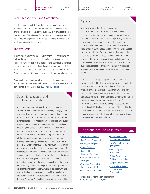SERVING OUR<br>CUSTOMERS

#### [INVESTING IN](#page-15-0)  [OUR EMPLOYEES](#page-15-0)

[SUPPORTING OUR](#page-20-0)  [COMMUNITIES](#page-20-0)

### Risk Management and Compliance

The Risk Management Organization and Compliance operate independently from the lines of business, which enables them to provide credible challenge to the business. They are responsible for the definition of policies and frameworks for the management of risk across the organization, as well as processes to challenge the implementation by the businesses.

### Internal Audit

Internal Audit, a function independent of the lines of business as well as of Risk Management and Compliance, tests and evaluates the Firm's risk governance and management, as well as its internal control processes. This function brings a systematic and disciplined approach to evaluating and improving the effectiveness of the Firm's governance, risk management and internal control processes.

Additional detail about our efforts to strengthen our control environment and our approach to controls, risk management and compliance is available in our [2017 Annual Report.](https://www.jpmorganchase.com/corporate/investor-relations/document/annualreport-2017.pdf)

### Policy Engagement and Political Participation

As a public company with customers and employees around the world, we have a responsibility to engage and work constructively with policymakers, including elected representatives, in numerous jurisdictions. Because of the potential public policy has to impact our business, employees, communities and customers, we engage with policymakers on a range of issues, including financial regulation, job creation, workforce skills, trade and tax policy, among others, to advance and protect the long-term interests of the Firm and the communities in which we operate. Growing the economy and creating opportunity for more people are vitally important, and JPMorgan Chase is proud to engage on these issues. We also belong to a number of trade associations representing the interests of the financial services industry specifically, as well as the broader business community. JPMorgan Chase's membership in these associations comes with the understanding that our Firm may not always agree with certain positions of an organization or its other members. Finally, we aim to operate with high standards of public transparency in political spending and are credited as an industry leader by the 2017 CPA-Zicklin Index of Corporate Political Disclosure and Accountability.

Cybersecurity

The Firm devotes significant resources to protect the security of our computer systems, software, networks and other assets. We continue to enhance our cyber defense capabilities and strengthen partnerships with government and law enforcement agencies and other businesses in order to understand the full spectrum of cybersecurity risks, enhance our defenses and improve resiliency against cybersecurity threats. We have dedicated cybersecurity professionals working across the globe, monitoring our systems 24 hours a day, seven days a week, to maintain our defenses and enhance our resiliency to threats. All of our employees receive annual Cybersecurity Awareness education and are expected to be vigilant to cyber risks at all times.

We are also advancing our cybersecurity leadership through Sheltered Harbor, an industry-led set of standards and processes to increase the resilience of the retail financial sector in the event of a destructive or disruptive cyberattack. JPMorgan Chase was one of the institutions that drove the development and establishment of Sheltered Harbor. A voluntary program, the participating firms represent over 60% of U.S. retail deposit accounts and over 55% of U.S. brokerage client assets. Sheltered Harbor is just one example of how the industry is taking the lead in building resiliency into the financial system to provide our customers the utmost confidence.

### Additional Online Resources

- ö [2017 Annual Report](https://www.jpmorganchase.com/corporate/investor-relations/document/annualreport-2017.pdf)
- ö [2018 Proxy Statement](https://www.jpmorganchase.com/corporate/investor-relations/document/proxy-statement2018.pdf)
- ö [Business Principles](https://www.jpmorganchase.com/corporate/About-JPMC/ab-business-principles.htm)
- ö [Code of Conduct](https://www.jpmorganchase.com/corporate/About-JPMC/ab-code-of-ethics.htm)
- > Code of Ethics for [Financial Professionals](https://www.jpmorganchase.com/corporate/About-JPMC/ab-code-of-ethics.htm)
- ö [Corporate Governance](https://www.jpmorganchase.com/corporate/About-JPMC/ab-corporate-governance-principles.htm)  **[Principles](https://www.jpmorganchase.com/corporate/About-JPMC/ab-corporate-governance-principles.htm)**
- ö [Corporate Responsibility](http://www.jpmorganchase.com/CR2017) [Report \(April 2018\)](http://www.jpmorganchase.com/CR2017)
- > [Diversity and Inclusion](https://www.jpmorganchase.com/corporate/About-JPMC/diversity.htm)

For additional information, please visit [www.jpmorganchase.com/](https://www.jpmorganchase.com/corporate/About-JPMC/esg.htm)ESG

ö [Environmental and](https://www.jpmorganchase.com/corporate/Corporate-Responsibility/document/jpmc-environmental-and-social-policy-framework.pdf)  [Social Policy Framework](https://www.jpmorganchase.com/corporate/Corporate-Responsibility/document/jpmc-environmental-and-social-policy-framework.pdf)

므

- $>$  How We Do Business  $-$ [The Report](http://files.shareholder.com/downloads/ONE/3929692437x0x799950/14aa6d4f-f90d-4a23-96a6-53e5cc199f43/How_We_Do_Business.pdf)
- > Human Rights [Statement](https://www.jpmorganchase.com/corporate/About-JPMC/ab-human-rights.htm)
- ö [Policy Engagement and](https://www.jpmorganchase.com/corporate/About-JPMC/ab-political-activities.htm)  [Political Participation](https://www.jpmorganchase.com/corporate/About-JPMC/ab-political-activities.htm)
- > [Supplier Information](https://www.jpmorganchase.com/corporate/About-JPMC/ab-supplier-relations.htm)
- > U.K. Modern Slavery [Act Transparency](https://www.jpmorganchase.com/corporate/Corporate-Responsibility/document/modern-slavery-act.pdf)  **Statement**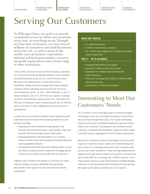**[SERVING OUR](#page-12-0)  [CUSTOMERS](#page-12-0)**

[INVESTING IN](#page-15-0)  [OUR EMPLOYEES](#page-15-0) [SUPPORTING OUR](#page-20-0)  [COMMUNITIES](#page-20-0)

# Serving Our Customers

At JPMorgan Chase, our goal is to provide exceptional service to clients and customers every time, in everything we do. Through our four lines of business, we serve tens of millions of consumers and small businesses across the U.S., as well as many of the world's most prominent corporations, national and local governments, investors, nonprofit organizations and a broad range of other institutions.

In this section, we focus on how our lines of business, especially our Consumer & Community Banking business, serve consumers and small businesses across the U.S. under the Chase brand. We support the banking needs of nearly half of all U.S. households, helping consumers manage their money, families purchase a home, individuals invest and save for the future, and entrepreneurs grow  $-$  or start  $-$  their businesses. In the 12 months ending in June 2017, the Firm's U.S. deposits, including consumers and businesses, grew by nearly 8%. This made it our fifth year of leading the nation in deposit growth and, for the first time in more than 23 years, JPMorgan Chase led the nation in total deposits.

In early 2018, we announced a number of new measures we will undertake to further invest in the economic growth of our communities, including:

- + Expanding our branch network by opening up to 400 branches over the next five years in new markets. These new branches will directly employ about 3,000 people.
- + Hiring approximately 500 new bankers in our existing markets to help support local businesses through lending and cash management solutions.
- + Hiring approximately 500 new Home Lending Advisors across the country to help consumers understand mortgage options so they can buy a home they can afford for the long term.

Together, these initiatives will enable us to increase our small business lending, accelerate affordable housing lending and provide further support for low- and moderate-income communities.

#### WHO WE SERVE:

- + 61 million households
- + 4 million small business customers
- + 46.7 million active digital users, including 30 million active mobile users

#### 2017 — AT A GLANCE:

- + Originated \$98 billion in mortgages
- + Opened 8.4 million credit card accounts
- + Completed 143 million Chase QuickPay with Zelle transactions
- + Processed, on average, \$2.5 billion in credit and debit payments every day
- + Processed \$1.2 trillion for merchants

## Innovating to Meet Our Customers' Needs

Our customers' lives increasingly center on mobile and digital technologies, so we are continually innovating to enhance how we serve them through those tools. This includes developing products and services specifically designed to meet the unique needs of our customers, including low- and moderate-income customers, individuals with disabilities, people for whom English is not their primary language and small business entrepreneurs.

Many of our innovations center on technology, but we also want to give our customers choices. Digital and mobile banking tools and services are increasingly important in how customers bank and are key to their satisfaction. These offerings supplement our extensive brick-and-mortar network of more than 5,100 branches and 16,000 ATMs. On an average day, 1 million customers visit a Chase branch, and we are also at the forefront of digital banking: Chase.com is the most visited online banking portal and we have the largest active digital customer base in our industry.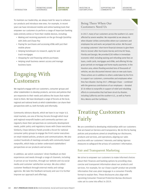[SUPPORTING OUR](#page-20-0)  [COMMUNITIES](#page-20-0)

ADVANCING SUSTAINABILITY

### Being There When Our Customers Need Us

In 2017, many of our customers across the southern U.S. were affected by severe weather. We responded as we always do when disaster strikes communities where our customers and employees live and work: we jumped into action. We focused on easing customers' short-term financial stresses to give them time to recover after Hurricanes Harvey and Irma hit Texas, Florida and Georgia. We provided \$30 million in immediate economic relief, including waiving and refunding some fees on loans, credit cards, mortgages and ATMs, and offering 90-day grace periods on mortgage and home equity payments. In the Houston area, where flooding wrecked tens of thousands of vehicles, we also discounted interest rates on new auto loans. These actions are in addition to others undertaken by the Firm to support our customers, communities and employees when they face disaster. During 2017, JPMorgan Chase — combined with the generous contributions of our employees — donated \$7.8 million to nonprofits in support of relief and rebuilding efforts in communities that had been struck by disaster, including California and the southern U.S., as well as Puerto Rico, Mexico and the Caribbean.

# Treating Customers Fairly

We are committed to developing relationships with our customers that are based on fairness and transparency. We do this by having policies and procedures aimed at simplifying our disclosures, products and services, and operations; aligning our sales practices with our customers' interests; and taking rigorous measures to safeguard the privacy of customers' information.

### Fair and Transparent Marketing

We strive to empower our customers to make informed choices about their finances and banking options by providing clear, concise and transparent information about our products and services. For example, for our Chase Liquid® product we provide information that uses plain language in a consumer-friendly format to explain fees. These disclosures also align with upcoming Consumer Financial Protection Bureau disclosure rules set to come into effect in 2019.

<span id="page-12-0"></span>To maintain our leadership, we always look for ways to enhance our products and introduce new ones. For example, in recent years we have introduced mobile and online banking tools that empower our customers to perform a range of important banking tasks entirely online or from their mobile devices, including:

- + Making and receiving payments on the go through QuickPay with Zelle and Chase Pay
- + Paying for purchases and accessing ATMs with just their mobile phone
- + Helping homebuyers to research, apply for and track mortgages
- + Shopping for and financing vehicle purchases
- + Helping small business owners access and manage business loans

# Engaging With **Customers**

We regularly engage with our customers, consumer groups and other stakeholders to develop products, services and policies that are responsive to their needs and address the issues that matter most to them. We have developed a range of forums at the local, regional and national levels at which stakeholders can share their perspectives with us, both formally and informally.

Community Advisory Boards, which we have in our major U.S. retail markets, are one of the key forums through which local and regional nonprofit leaders and community partners can regularly share their perspectives on community development needs, public policy and regulatory issues with Chase executives. Similarly, Chase Advisory Panels provide a forum for national consumer policy groups to engage the Firm's senior executives on retail-related policies, products and communications. We also conduct hundreds of meetings annually with community-based nonprofits, which helps us better understand stakeholders' perspectives on our products and services.

In addition, we solicit customers' direct feedback on their experiences and needs through a range of channels, including in person at our branches, through our website and via social media and customer satisfaction surveys. We also collect customer feedback through external media and ratings agencies. We take this feedback seriously and use it to further improve our approach and offerings.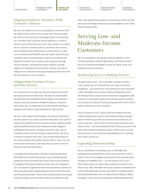**[SERVING OUR](#page-12-0)  [CUSTOMERS](#page-12-0)**

#### [INVESTING IN](#page-15-0)  [OUR EMPLOYEES](#page-15-0)

[SUPPORTING OUR](#page-20-0)  [COMMUNITIES](#page-20-0)

### Aligning Employees' Incentives With Customers' Interests

We train our bankers to focus on providing our customers with the right products and services to meet their financial needs. We reinforce this priority by rewarding bankers for delivering our customers both a positive overall experience, as well as products and services they use. Every year, bankers are trained on our customer-centered policies, procedures and controls, and we evaluate their performance on these metrics, as well as on revenue and profitability. We also review sales practices, including culture, incentive plans, controls assessments and feedback received from customers and employees through various channels, including anonymous hotlines. By tying together the feedback from all of these channels, we help to safeguard our reputation and align employee performance with the best interests of our customers.

### Safeguarding Customer Privacy and Data Security

Our customers trust us with not only their money but also their personal and financial information. We take this responsibility seriously. We have established internal policies and maintain a variety of security measures intended to keep our customers' information safe. An important part of this involves holding our suppliers and vendors to high standards for data security.

We use a wide range of technological, procedural and physical security measures to protect customer information. Our Code of Conduct and related policies for ethical business conduct include specific guidelines about how employees should safeguard confidential information, including customers' data, and all employees receive annual training on these policies. We strive to provide customers with clear, user-friendly explanations of our privacy policies that explain how we collect, share, use and protect their information, and steps they can take to limit the sharing of personal information.

In parallel with enhancing our customers' banking experience with digital and mobile financial tools, we are developing and putting into place innovative data privacy and security solutions to safeguard information shared via these tools. For example, in 2017 we signed an agreement with Intuit that allows customers to share data easily while safeguarding the privacy of their personal and financial information. These kinds of partnerships not only give customers greater control of their financial information to help

them make better financial decisions, but also set the bar for how banks and technology companies can work together to serve their shared customer base.

## Serving Low- and Moderate-Income **Customers**

We are committed to serving all customer segments, which includes working to develop high-quality, affordable products and user-friendly technologies to meet the needs of low- and moderate-income customers.

#### Broadening Access to Banking Services

Through Chase Liquid — our reloadable, prepaid card with a flat monthly fee, no overdraft fees and robust transaction capabilities — we provide low- and moderate-income consumers a safe, affordable way to access traditional banking services. We developed this product based on extensive engagement with consumers, community groups and consumer advocacy groups and it meets the Cities for Financial Empowerment Fund's (CFE's) Bank On National Account Standards.

Since its launch in 2012, Chase Liquid has helped more than a million people gain access to mainstream banking, making it easier for them to pay bills and increase financial security. As of year-end 2017, nearly 69% of Chase Liquid customers were new to Chase — and we estimate that half of those customers had never used traditional banking services, did not have a current bank account or were otherwise underbanked prior to opening their Chase Liquid Card.

### Expanding Homeownership

We are committed to increasing access to affordable and sustainable homeownership for many more customers. In 2017, nearly 15% of the mortgages we made for home purchases were through our DreaMaker loan — up from almost 5% in 2016 which allows buyers to make a down payment of as little as 3%. This and our other affordable home loan products complement the suite of affordable loans we have long offered, including Federal Housing Administration and U.S. Department of Veterans Affairs mortgages. Chase also has a specialized underwriting team that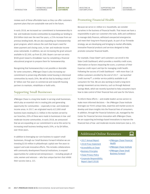[SUPPORTING OUR](#page-20-0)  [COMMUNITIES](#page-20-0)

reviews each of these affordable loans so they can offer customers payment plans that are sustainable now and in the future.

In early 2018, we increased our commitment to homeownership in low- and moderate-income communities by expanding our lending to \$50 billion total over the next five years, a 25% increase from our previous lending levels. We are also expanding our homeownership grant program, which reduces the cash that buyers need for down payment and closing costs, to low- and moderate-income areas nationwide. In addition, we are increasing the grant amount available to \$2,500, up from \$1,500. Buyers can earn an extra \$500 grant toward a DreaMaker loan by completing a financial educational program to prepare them for homeownership.

Recognizing that homeownership is not possible or desirable for some consumers, JPMorgan Chase is also increasing our commitment to preserving affordable rental housing in distressed communities by nearly 20%. We will do that by lending a total of \$7 billion over five years to commercial and nonprofit housing partners to maintain, rehabilitate or build units.

### Supporting Small Businesses

JPMorgan Chase is a long-time leader in serving small businesses, which play an essential role in creating jobs and generating opportunity for communities — especially in low- and moderateincome areas. In 2017, we originated nearly 622,000 small business loans totaling \$13.3 billion in the markets served by our branches; 20% of these were made to businesses in low- and moderate-income communities. In early 2018, we announced that we are expanding on our commitment to serve this sector by increasing small business lending nearly 20%, or by \$4 billion, over three years.

In addition to leveraging our core business to support small businesses, through our Small Business Forward initiative we are investing \$150 million in philanthropic capital over five years to support and scale innovative efforts. This includes collaborations with community development financial institutions, to expand opportunities for underserved entrepreneurs — including people of color, women and veterans — who face unique barriers that inhibit their success (see p. 22).

### Promoting Financial Health

Because we serve 61 million U.S. households, we consider ourselves in the business of financial health. That means we have a responsibility to give our customers the tools, skills and confidence to manage daily finances, withstand unexpected emergencies and meet their long-term financial goals. As part of our firmwide strategy, we are developing and bringing to market affordable, innovative financial products and services designed to help promote consumer financial health.

For example, Chase Slate® card customers can enroll in the Slate Credit Dashboard, which provides a monthly credit score, information on factors impacting the score, a summary of their Experian credit report and tips for managing credit health. Following the success of Credit Dashboard — with more than 3.8 million customers enrolled by the end of 2017 — we launched Credit JourneySM, a similar service publicly available to all consumers for free. We are also working to build a long-term savings movement across America, such as through National Savings Week, which we recently launched to help consumers learn how to take control of their financial lives and save for the future.

To inform these efforts — and enable leaders across sectors to make more informed decisions — the JPMorgan Chase Institute leverages our Firm's unique data, expertise and market access to develop and share insights into the financial lives of consumers. In addition, through the Financial Solutions Lab, managed by the Center for Financial Services Innovation with JPMorgan Chase, we are supporting technology-based innovations to improve the financial lives of low- and moderate-income Americans (see p. 22).

### Additional Online Resources

- ö [2017 Annual Report](https://www.jpmorganchase.com/corporate/investor-relations/document/annualreport-2017.pdf)
- ö [2018 Proxy Statement](https://www.jpmorganchase.com/corporate/investor-relations/document/proxy-statement2018.pdf)
- > [Accessibility at Chase](https://www.chase.com/digital/resources/accessibility)
- ö [Business Principles](https://www.jpmorganchase.com/corporate/About-JPMC/ab-business-principles.htm)
- ö [Chase Privacy Policy](https://www.chase.com/digital/resources/privacy-security/privacy/online-privacy-policy)
- ö [Corporate Responsibility](http://www.jpmorganchase.com/CR2017)  [Report \(April 2018\)](http://www.jpmorganchase.com/CR2017)
- ö[JPMorgan Chase Financial](https://www.jpmorganchase.com/corporate/Corporate-Responsibility/financial-capability.htm)  [Health](https://www.jpmorganchase.com/corporate/Corporate-Responsibility/financial-capability.htm)

므

- ö[JPMorgan Chase Institute](https://www.jpmorganchase.com/corporate/institute/institute.htm)
- ö[JPMorgan Chase Small](https://www.jpmorganchase.com/corporate/Corporate-Responsibility/small-business-forward.htm)  [Business Forward](https://www.jpmorganchase.com/corporate/Corporate-Responsibility/small-business-forward.htm)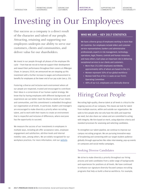[PROMOTING SOUND](#page-7-0) 

[SERVING OUR](#page-12-0)  [CUSTOMERS](#page-12-0)

**INVESTING IN OUR EMPLOYEES** [SUPPORTING OUR](#page-20-0)  [COMMUNITIES](#page-20-0)

ADVANCING SUSTAINABILITY

# <span id="page-15-0"></span>Investing in Our Employees

Our success as a company is a direct result of the character and talent of our people. Attracting, retaining and supporting our employees underpin our ability to serve our customers, clients and communities, and deliver value for our shareholders.

We invest in our people through all phases of the employee life cycle — from how we recruit to how we support their development and reward their performance throughout their careers at JPMorgan Chase. In January 2018, we announced we are stepping up this investment with a further increase to wages and enhancement to benefits for employees at the lower end of our pay scale (see p. 20).

Fostering a diverse and inclusive work environment where all our people are respected, trusted and encouraged to contribute their ideas is a cornerstone of our human capital strategy. We know that by having employees with different backgrounds and experiences we can better meet the diverse needs of our clients and communities, and this commitment is embedded throughout our organization at all levels. In particular, leaders and managers are encouraged to make diversity a priority when recruiting talent, and to work with their teams to create an environment that is respectful and inclusive of differences, where everyone has the opportunity to succeed.

We measure the success of our investments in employees in multiple ways, including job offer acceptance rates, employee engagement and satisfaction, attrition levels and internal mobility rates, among others. We are widely recognized for our workplace practices. For more information, visit our [website.](https://www.jpmorganchase.com/corporate/About-JPMC/ab-people-culture.htm)

### WHO WE ARE — KEY 2017 STATISTICS

We have a diverse group of employees working in more than 60 countries. Our employees include tellers and customer service representatives; bankers and administrative professionals; experts in risk management, technology, operations, legal, finance, controls and human resources; and many others. Each plays an important role in delivering exceptional services to our clients and customers.

- + More than 252,000 employees worldwide, approximately 68% of whom are based in the U.S.
- + Women represent 50% of our global workforce
- + Women hold five of the 11 seats on our Firm's Operating Committee
- + 48% of our U.S. employees are ethnically diverse

# Hiring Great People

Recruiting high-quality, diverse talent at all levels is critical to the ongoing success of our company. This means we look for talent from multiple sources, within and outside our organization. We seek to hire people who not only have the skills and expertise we need, but also share our values and are committed to acting with integrity. We hire based on merit, using objective criteria and standard processes for assessing and selecting candidates.

To strengthen our talent pipeline, we continue to improve our campus recruiting program. We are pursuing innovative ways of broadening and connecting with our target student audience globally through approaches like video interviewing, pop-up events on campuses and social media campaigns.

### Seeking Diverse Candidates

We strive to make diversity a priority throughout our hiring process and seek candidates from a wide range of backgrounds and experiences for positions at all levels. We have continued to enhance our signature diversity-focused campus recruiting programs that help us build a diverse workforce. For example,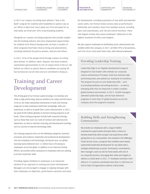[PROMOTING SOUND](#page-7-0) 

in 2017 our campus recruiting team piloted a "Day in the Bank" program for students with disabilities to spend a day at our offices in New York, learn about our Firm and apply for an internship; we hired over 50% of participating students.

Alongside our campus recruiting programs that provide insights into the banking industry and early employment opportunities for students from diverse backgrounds, we have a number of other programs that foster diverse hiring and advancement, including initiatives focused on women, veterans and others.

In 2017, 41% of the people hired through campus recruiting were women. In addition, black, Hispanic and Asian students represented approximately 41.6% of campus hires in the U.S. We believe our efforts to attract diverse candidates are paying off, but we know we can do more and are committed to doing so.

## Training and Career Development

The driving goal of our human capital strategy is to develop and retain a high-performing, diverse workforce for today and the future. To do so, we make substantial investments in tools and training programs to help employees build their knowledge, skills and experience, as well as to guide their career advancement. In 2017, we spent \$340 million globally on formal training programs at all levels. These training programs include both required trainings, such as those that cover our Code of Conduct and Cybersecurity Awareness, as well as voluntary learning and development trainings such as courses to improve technology skills.

Our training programs focus on the following categories: business processes and products, leadership and professional development, risk and compliance and technology. During the year, our global learning teams delivered over 11 million hours of training to employees across the globe. In addition to our internal training efforts, we provide tuition assistance to employees who are seeking to further build their skills.

Providing regular feedback to employees is an important element of our approach to training and career development. Managers are encouraged to engage in ongoing dialogue with their employees on objectives, performance outcomes and areas

for development, including acquisition of new skills and potential career paths. Our formal review process looks at performance holistically and considers input from multiple sources, including peers and subordinates, and risk and control functions. These 360-degree reviews also assess employees' adherence to the highest standards of ethics and integrity.

[COMMUNITIES](#page-20-0)

**[INVESTING IN](#page-15-0)  [OUR EMPLOYEES](#page-15-0)**

We also support employees by facilitating career advancement and mobility within the company. In 2017, we filled 39% of all positions, and 55% of our most senior-level roles, with internal employees.

### Providing Leadership Training

Leadership Edge is our flagship development program designed to train leaders who embody our corporate culture and Business Principles, build and motivate highperforming teams and uphold our standards of excellence. The program focuses on core leadership skills — such as providing feedback and setting direction — as well as emerging skills that are important in today's complex, global business environment. In 2017, 18,000 managers attended Leadership Edge, and we have delivered programs in more than 47 global locations across the company since the program's inception.

### Building Skills and Strengthening Communities

We provide our employees with a range of skilled volunteerism opportunities that give them a chance to develop leadership skills and gain new experiences while giving back to our communities. One example is the JPMorgan Chase Service Corps, a program that combines team-based, experiential leadership development for top talent with a strategic philanthropic purpose. Participants, nominated by their managers, work on-site for three weeks with one of our nonprofit partners, leveraging their skills and insights to address a critical need. In 2017, 77 employee volunteers from offices in 13 countries contributed more than 11,500 hours of time to help 20 organizations address critical needs.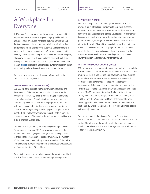[SERVING OUR](#page-12-0)  [CUSTOMERS](#page-12-0)

#### **[INVESTING IN](#page-15-0)  [OUR EMPLOYEES](#page-15-0)**

[SUPPORTING OUR](#page-20-0)  [COMMUNITIES](#page-20-0)

#### SUPPORTING WOMEN

Women make up nearly half of our global workforce, and we provide a range of tools and programs to help them succeed. For example, our Women on the Move initiative offers women a platform to exchange ideas and explore ways to support their career development. The Firm hosts more than a dozen targeted resource groups for women, the largest of which is the Women on the Move — Interactive Network (WIN), which supports the growth and retention of women at all levels. We also have programs that support families, such as backup child care and expanded parental leave, as well as programs that address barriers to returning to work, such as our ReEntry Program and Maternity Mentors initiative.

#### BUSINESS RESOURCE GROUPS (BRGs)

BRGs are networking groups that enable our employees around the world to connect with one another based on shared interests. They promote leadership and professional development opportunities for members who serve as active volunteers, advocates and recruiters in our key markets, connecting the company's employees to distinct and diverse communities and helping the Firm achieve certain goals. There are 10 BRGs globally comprised of over 75,000 employees, including Adelante (Hispanic and Latino), BOLD (black), AsPire (Asian and Pacific Islander), Pride (LGBTQA) and the Women on the Move — Interactive Network (WIN). Approximately 30% of our employees are members of at least one BRG. While each BRG has a core focus, all employees are welcome to join any BRG.

We have also launched a Hispanic Executive Forum, Asian Executive Forum and LGBT Executive Council, all modeled after our existing Black Executive Forum, through which senior leaders at the Firm share best practices and drive agendas that are important to each respective community.

# A Workplace for Everyone

At JPMorgan Chase, we strive to cultivate a work environment that emphasizes our core values of respect, integrity and inclusivity and supports all employees' heritages, cultures, work styles and lifestyles. Managers play an important role in fostering inclusive environments where all employees can thrive and contribute to the success of the team and organization. We provide managers with diversity and inclusion training, as well as what we call our Blueprint, which provides leaders with ideas and resources to attract, hire, develop and retain diverse talent. In 2017, our Firm received more than 50 [awards](https://www.jpmorganchase.com/corporate/About-JPMC/ab-awards.htm) recognizing and reflecting our firmwide commitment to promoting an inclusive environment for our employees.

We have a range of programs designed to foster an inclusive, supportive workplace, such as:

#### ADVANCING BLACK LEADERS (ABL)

Our ABL initiative seeks to improve attraction, retention and development of black talent, particularly at the most senior levels of the Firm. A key focus is on encouraging managers to recruit diverse slates of candidates from inside and outside the company. We have also introduced programs to build the skills and exposure of junior talent and promote retention of talent. To encourage dialogue and engage our people, in 2017, over 85,000 employees were invited to participate in our ABL Dialogues, a series of interactive discussions led by local leaders in 10 strategic U.S. locations.

Two years into this initiative, we are seeing encouraging results. For example, at year-end 2017, we achieved increases in the number of black Managing Directors globally, including both new talent and the advancement of existing employees. The number of black Executive Directors is up 30%; the number of black Vice Presidents is up 17%; and recruitment of black recent graduates is up 7% since the start of the initiative.

We are in the process of extending many of the learnings and best practices from the ABL initiative to other employee segments.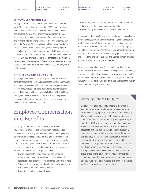[INTRODUCTION](#page-2-0)

military service.

MILITARY AND VETERAN HIRING

[PROMOTING SOUND](#page-7-0) 

since  $2011$  – including over 1,400 in 2017 alone – and more than 50% of veteran hires come from self-identified diverse backgrounds. We also offer internship programs in the U.S. and the U.K. to support the transition of military personnel and veterans into the financial services industry. Once they have joined the Firm, our Office of Military and Veterans Affairs helps support our veteran employees through mentorship programs, recognition events and other initiatives aimed at bridging the gap between military and corporate cultures. We also have a veteransfocused BRG that provides access to tools that foster the retention, development and advancement of veterans at all levels at JPMorgan Chase. Additionally, we offer paid military leave for all types of

[SERVING OUR](#page-12-0)  [CUSTOMERS](#page-12-0)

[SUPPORTING OUR](#page-20-0)  [COMMUNITIES](#page-20-0)

- JPMorgan Chase has hired more than 12,000 U.S. veterans + Rewarding behaviors that generate sustained value for the
	- Firm and reinforce personal accountability + Encouraging employees to think and act like owners

Compensation decisions for employees are based on an evaluation of role, tenure, seniority, and the business segment and location in which they work. We have governance mechanisms, systems and controls in place that are intended to provide our employees equitable pay for the work that they do, regardless of who they are. In addition to our internal processes, we engage outside experts and consultants to help us evaluate and analyze our pay practices, and we adjust our approach when merited.

Alongside compensation, we offer comprehensive benefits packages for our employees and their families, including health care coverage, retirement benefits, life and disability insurance, on-site health and wellness centers, employee assistance programs, competitive vacation and leave policies, backup child care arrangements, tuition reimbursement programs and more.

### Assessing Gender Pay Equity

We conduct regular pay equity reviews at all levels. In early 2018, we announced that the results of our most recent gender pay equity assessment show that women at JPMorgan Chase globally are paid 99% of what men are paid. In addition, in the U.S., minority employees are paid more than 99% of what nonminority employees are paid. These results show that men and women at the Firm, in aggregate, are paid comparably, taking into account a number of factors, including role, tenure, seniority, the business area they work in and geography. However, we also know that women still are not represented in as many senior management positions as men. Despite the significant progress we have made, this means there is still a gap between the pay of men and women. We are proud of our efforts to support women, and we remain committed to continuing to work hard to promote gender pay equity, and also attract, retain and promote a diverse workforce — especially at more senior levels.

### The ODI provides leaders and employees across the Firm with consistent standards, tools and processes to better accommodate

OFFICE OF DISABILITY INCLUSION (ODI)

and support employees with disabilities. Our management team focuses on four areas — attitude, accessibility, accommodations and assimilation — to hire and retain individuals with disabilities throughout the firm. A key area of focus has been on process enhancements that have improved resolving employee requests to better accommodate their needs.

# Employee Compensation and Benefits

Providing competitive benefits and compensation is a key component of our talent development strategy and is important for attracting and retaining the best employees. Our compensation philosophy provides the guiding principles that drive compensation-related decision making across all levels of the Firm. We believe the effectiveness of our compensation program is dependent on the alignment of sound pay practices with our compensation philosophy, including:

- + Providing competitive and equitable compensation opportunities to employees based on their roles and responsibilities, experience, performance and other factors
- + Tying pay to performance and evaluating performance at the firm, business unit and individual levels
- + Promoting a culture of shared success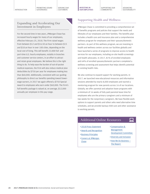#### [INTRODUCTION](#page-2-0)

[SERVING OUR](#page-12-0)  [CUSTOMERS](#page-12-0)



SUPPORTING OUR [COMMUNITIES](#page-20-0)

ADVANCING SUSTAINABILITY

#### Expanding and Accelerating Our Investment in Employees

For the second time in two years, JPMorgan Chase has increased hourly wages for many of our employees, effective February 25, 2018. The Firm raised wages from between \$12 and \$16.50 an hour to between \$15 and \$18 an hour in over 100 cities, depending on the local cost of living. This will benefit 22,000 full- and part-time U.S. hourly employees, notably in branches and customer service centers, in an effort to attract and retain great employees. We believe this is the right thing to do. To help ease the burden of out-of-pocket medical expenses, the Firm will also reduce medical plan deductibles by \$750 per year for employees making less than \$60,000. Additionally, consistent with our guiding philosophy to direct our benefits spending toward lowerwage earners, in 2017 we again offered a \$750 Special Award to employees who earn under \$60,000. The Firm's full benefits package is valued at, on average, \$12,000 annually per employee in this pay range.

### Supporting Health and Wellness

JPMorgan Chase is committed to providing a comprehensive set of benefits programs and policies that support the needs and lifestyles of our employees and their families. The benefits plan includes a health care and insurance plan and a comprehensive wellness program for employees and their spouses/domestic partners. As part of this wellness program, we are investing in health and wellness centers across our facilities globally and have launched a series of programs to improve access to health services for our employees, including on-site health screenings and health advocates. In 2017, 81% of enrolled employees and 64% of enrolled spouses/domestic partners completed a wellness screening and assessment that helps identify potential or existing health risks.

We also continue to expand support for working parents. In 2017, we launched new educational resources and information sessions attended by nearly 8,000 employees and started a mentoring program for new parents across 16 of our locations. Globally, we offer parental and adoption leave programs with a minimum of 16 weeks of fully paid parental leave time for employees who are the primary caregivers and a minimum of two weeks for the nonprimary caregivers. We have flexible work options to support parents and others who need alternative time schedules, and we provide backup child care and other assistance to working parents.

### Additional Online Resources  $\Box$

- ö [2018 Proxy Statement](https://www.jpmorganchase.com/corporate/investor-relations/document/proxy-statement2018.pdf)
- ö [Awards and Recognition](https://www.jpmorganchase.com/corporate/About-JPMC/ab-awards.htm)
- ö [Business Principles](https://www.jpmorganchase.com/corporate/About-JPMC/ab-business-principles.htm)
- ö [Careers at JPMorgan](https://careers.jpmorgan.com/careers/US/en/home)  **[Chase](https://careers.jpmorgan.com/careers/US/en/home)**
- ö [Compensation &](https://www.jpmorganchase.com/corporate/About-JPMC/ab-compensation-management.htm)  [Management](https://www.jpmorganchase.com/corporate/About-JPMC/ab-compensation-management.htm)
- [Development Committee](https://www.jpmorganchase.com/corporate/About-JPMC/ab-compensation-management.htm)
- > [Diversity and Inclusion](https://www.jpmorganchase.com/corporate/About-JPMC/diversity)  $>$  How We Do Business  $-$

[The Report](https://www.jpmorganchase.com/corporate/investor-relations/document/How_We_Do_Business.pdf)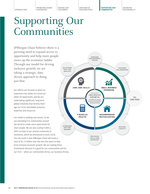[PROMOTING SOUND](#page-7-0) 

[SERVING OUR](#page-12-0)  [CUSTOMERS](#page-12-0)

[INVESTING IN](#page-15-0)  [OUR EMPLOYEES](#page-15-0) **SUPPORTING OUR COMMUNITIES**

ADVANCING SUSTAINABILITY

# <span id="page-20-0"></span>Supporting Our Communities

JPMorgan Chase believes there is a pressing need to expand access to opportunity and help more people move up the economic ladder. Through our model for driving inclusive growth, we are taking a strategic, datadriven approach to doing just that.

Our efforts are focused on what our experience has shown are universal pillars of opportunity, and we are undertaking significant, long-term global initiatives that directly leverage our Firm's worldwide presence, expertise and resources.

Our model is yielding real results, so we are extending it to communities around the world to create more opportunity for more people. We are also scaling it with a 40% increase in our annual community investments, which we announced in early 2018. The net result is that JPMorgan Chase will invest a total of \$1.75 billion over the next five years to help drive inclusive economic growth. We are making these investments because it is good for our communities and for our Firm — when our communities thrive, our business thrives.

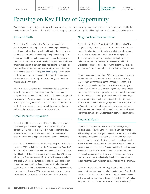**[SUPPORTING OUR](#page-20-0)  [COMMUNITIES](#page-20-0)**

# Focusing on Key Pillars of Opportunity

Our Firm's model for driving inclusive growth is focused on key pillars of opportunity: jobs and skills, small business expansion, neighborhood revitalization and financial health. In 2017, our Firm deployed approximately \$250 million in philanthropic capital across 40 countries.

### Jobs and Skills

Through New Skills at Work, New Skills for Youth and other initiatives, we are investing over \$350 million to provide young people and adult workers the skills and training they need to move up the economic ladder, while strengthening the talent pipeline employers need to compete. In addition to supporting programs that train workers to compete for well-paying, middle-skill jobs, we are developing next-generation labor market data resources. For example, in partnership with Georgetown University, in 2017 we launched the Good Jobs Index [\(GoodJobsData.org](http://GoodJobsData.org)), an interactive platform that allows users to explore the entire U.S. labor market for jobs with median earnings of \$55,000 per year that do not require a bachelor's degree.

Also in 2017, we expanded The Fellowship Initiative, our Firm's intensive academic, leadership and professional development program for young men of color. In 2017, 117 students completed the program in Chicago, Los Angeles and New York City — with a 100% high school graduation rate — and we expanded it into Dallas. In 2018, we increased the overall size of the program when we welcomed in 200 new Fellows for the Class of 2020.

### Small Business Expansion

Through Small Business Forward, JPMorgan Chase is leveraging our deep expertise in serving the small business sector as part of a \$150 million, five-year initiative to support and scale innovative efforts to expand opportunities for underserved entrepreneurs, including people of color, women and veterans.

A key focus of Small Business Forward is expanding access to flexible capital. In 2015, we helped launch the Entrepreneurs of Color (EOC) Fund to provide capital to Detroit's minority-owned small businesses. By 2017, the EOC Fund had tripled in size to more than \$18 million, with support from new funders Fifth Third Bank, Kresge Foundation and Ralph C. Wilson, Jr. Foundation. To date, the EOC Fund has lent or approved nearly \$4.7 million to more than 45 minority small businesses — 53% of them owned by women — resulting in over 600 new or preserved jobs. In 2018, we are replicating the model with similar funds in San Francisco and New York City's South Bronx.

### Neighborhood Revitalization

Partnership for Raising Opportunity in Neighborhoods (PRO Neighborhoods) is JPMorgan Chase's \$125 million initiative to support locally driven solutions for revitalizing neighborhoods across the U.S. Through the effort, we are leveraging our deep expertise in community development banking to drive collaboration, provide seed capital to preserve and build affordable housing, and develop forward-looking data tools to help nonprofits and communities effectively target investments.

Through an annual competition, PRO Neighborhoods motivates local community development financial institutions (CDFIs) to work together to tackle a specific challenge. To date, PRO Neighborhoods has hosted four competitions — awarding a total of \$84 million to 62 CDFIs serving over 25 states. We are supporting collaborative approaches to community development in other ways as well. The Uplift America Fund, for example, is a unique public-private partnership aimed at addressing poverty in rural America. The effort brings together the U.S. Department of Agriculture with philanthropic and private sector partners, including JPMorgan Chase, to fund vital community services and strengthen community-based lenders in distressed communities.

### Financial Health

The Financial Solutions Lab (FinLab) — a \$30 million, five-year initiative managed by the Center for Financial Services Innovation with founding partner JPMorgan Chase — is one part of our firmwide strategy to promote financial health (see p. 15). FinLab hosts an annual competition to identify, test and scale technology-based products and services that address the needs of low- and moderateincome Americans. Since FinLab's inception in 2014, the 26 winners have served more than 2.5 million Americans with solutions on issues such as managing cash flow, increasing savings, improving credit scores and more. Collectively, FinLab companies have also raised more than \$250 million in capital since joining the program.

Our Firm also supports nonprofit organizations that help lowincome individuals get on more solid financial ground. Since 2014, JPMorgan Chase has committed more than \$100 million to over 500 organizations that have collectively helped at least 2.4 million people across 11 countries improve their financial well-being.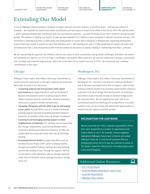**[SUPPORTING OUR](#page-20-0)  [COMMUNITIES](#page-20-0)**

## Extending Our Model

In 2014, JPMorgan Chase launched an initiative to support Detroit's economic recovery. In just three years — and two years ahead of schedule — we exceeded our initial \$100 million commitment and now expect to invest \$150 million in the city by 2019. We view this effort — which combines philanthropic investments with our core business expertise — as proof of concept of our Firm's model for driving inclusive growth. The initiative is yielding real results. To date, we have deployed \$117 million in loans and grants in Detroit's economic recovery. This investment is allowing more than 15,000 adults and young people to receive skills training for in-demand jobs; supporting development projects that have created or preserved more than 900 jobs, over 1,300 housing units and 177,000 square feet of commercial space; and providing more than 2,200 entrepreneurs with technical assistance and access to capital, creating or maintaining more than 1,100 jobs.

We are now putting the approach we refined in Detroit into action in other communities facing similar challenges, and where we believe the conditions are right for our Firm to make a meaningful contribution. Most important, we look for collaboration among a community's civic, business and nonprofit organizations, which lies at the heart of our model's success. In 2017, we announced new, multiyear commitments to two cities:

### Chicago

JPMorgan Chase made a \$40 million, three-year commitment to create economic opportunity in Chicago's underserved South and West sides, focused in four key areas:

- + Connecting underserved entrepreneurs with capital and resources by supporting efforts such as the Women's Business Development Center's ScaleUp program, which delivers business services, mentorship, technical assistance and access to capital to female entrepreneurs.
- + Equipping Chicagoans with the skills to get on well-paying career paths, through efforts such as a robotics technician training program operated by Building Self Determination Industries, a subsidiary of the Arthur M. Brazier Foundation.
- + Investing in and leveraging existing support to foster neighborhood revitalization. For example, we are supporting The Chicago Collaborative, a partnership between three community development financial institutions. To date, the collaborative has preserved nearly 600 units of affordable housing.
- + Promoting financial health by supporting efforts such as The Resurrection Project (TRP), which is helping families through personalized financial coaching and asset-building services like Lending Circles. Through our support, TRP has served nearly 2,000 individuals, with an average improved credit score of 28 points and an average increase in savings of \$2,227.

### Washington, D.C.

JPMorgan Chase made a \$10 million, three-year commitment to Washington, D.C., focused in the District's underserved Wards 7 and 8. We have committed half of this to support a plan to help existing residents benefit from economic opportunities related to a planned 11th Street Bridge Park development, an ambitious, \$50 million project that will include an elevated bridge across the Anacostia River. We are targeting the other half of our commitment toward accelerating and scaling efforts to provide residents most at risk of being left behind with opportunities to benefit from the region's economic growth.

#### RECOGNITION FOR OUR WORK

We are proud that our Firm's corporate responsibility efforts have been recognized by a number of organizations and media outlets. In 2017, for example, *Fortune* magazine highlighted JPMorgan Chase's work in Detroit and ranked JPMorgan Chase No. 1 on its list of companies that are changing the world. Our Firm was also selected as winner of The Queen's Award for Enterprise for Promoting Opportunity in the United Kingdom.

므

### Additional Online Resources

- ö [2017 Annual Report](https://www.jpmorganchase.com/corporate/investor-relations/document/annualreport-2017.pdf)
- ö [Corporate Responsibility Report \(April 2018\)](https://reports.jpmorganchase.com/corporate-responsibility/2017/cr-2017-home.htm)
- ö [Corporate Responsibility](https://www.jpmorganchase.com/corporate/Corporate-Responsibility/corporate-responsibility.htm)
- ö [JPMorgan Chase Institute](https://www.jpmorganchase.com/corporate/institute/institute.htm)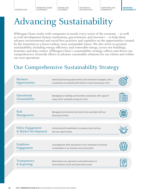[SUPPORTING OUR](#page-20-0)  [COMMUNITIES](#page-20-0)

# Advancing Sustainability

JPMorgan Chase works with companies in nearly every sector of the economy — as well as with development finance institutions, governments, and investors — to help them advance environmental and social best practices and capitalize on the opportunities created by the transition to a lower-carbon, more sustainable future. We also strive to promote sustainability, including energy efficiency and renewable energy, across our buildings, branches and data centers. JPMorgan Chase's sustainability strategy reflects and drives our comprehensive, firmwide efforts to advance sustainable solutions for our clients and within our own operations.

## Our Comprehensive Sustainability Strategy

| <b>Business</b><br>Opportunities                 | Advancing financing opportunities and investment strategies, with a<br>commitment to facilitate \$200 billion in clean financing by 2025 |  |
|--------------------------------------------------|------------------------------------------------------------------------------------------------------------------------------------------|--|
| Operational<br>Sustainability                    | Managing our buildings and branches sustainably, with a goal of<br>using 100% renewable energy by 2020                                   |  |
| <b>Risk</b><br>Management                        | Managing environmental and social risks associated with our<br>financing activities                                                      |  |
| <b>Policy Engagement</b><br>& Market Development | Partnering with stakeholders to advance best practices<br>and new opportunities                                                          |  |
| Employee<br>Engagement                           | Leveraging the skills and passion of our employees to advance<br>sustainability in our business and communities                          |  |
| Transparency<br>& Reporting                      | Reporting on our approach to and performance on<br>Environmental, Social and Governance issues                                           |  |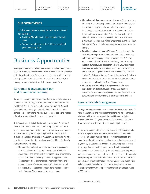#### OUR COMMITMENTS

Building on our global strategy, in 2017 we announced new targets to:

- + Facilitate \$200 billion in clean financing through 2025
- + Source renewable energy for 100% of our global power needs by 2020

## Business Opportunities

JPMorgan Chase works to integrate sustainability into the way we do business to better serve our clients, many of whom have sustainability objectives of their own. We help them achieve these objectives by leveraging our resources and the expertise of our bankers, risk managers, industry experts and others across our Firm.

### Corporate & Investment Bank and Commercial Banking

Advancing sustainability through our financing activities is a key element of our strategy, as exemplified by our commitment to facilitate \$200 billion in clean financing through 2025. As of year-end 2017, JPMorgan Chase had facilitated \$60.6 billion toward this commitment, helping our clients to scale the impact of their sustainability efforts around the world.

This financing activity is led principally through our Corporate & Investment Bank and Commercial Banking businesses. These groups serve large- and medium-sized corporations, governments and institutions by providing strategic advice, raising capital, extending loans and offering risk management solutions. We help our clients achieve their financial and sustainability objectives in numerous ways, including:

+ **Underwriting debt with a sustainable use of proceeds.**  In 2017, JPMorgan Chase underwrote \$13.5 billion in green bonds and bonds with a sustainable use of proceeds. In 2017, Apple Inc. raised \$1 billion using green bonds. The company plans to increase its recycling efforts and to pioneer the use of greener materials in its products and processes. It was the second green bond Apple has issued with JPMorgan Chase as an active bookrunner.

- + **Financing and risk management.** JPMorgan Chase provides financing and risk management solutions to support clients' renewable energy projects and to facilitate new energy, technology, transportation, waste management and water treatment innovations. In 2017, the Firm provided \$1.2 billion for wind and solar projects in the U.S. Since 2003, JPMorgan Chase has committed or arranged over \$18 billion in financing for wind, solar and geothermal energy projects in the U.S.
- + **Providing advisory services.** JPMorgan Chase advises clients on leading strategic transactions and capital raises, including in the renewable energy sector. For example, in 2017 the Firm served as financial advisor to Enbridge Inc., an energy infrastructure group, on its partnership with EnBW to develop the Hohe See and Albatross offshore wind farms in Germany one of Europe's largest offshore wind projects. The Firm also advised SunEdison on its sale of a controlling stake in TerraForm Power and the sale of TerraForm Global — renewable energy companies — to Brookfield Asset Management.
- + **Advancing sustainability through research.** The Firm periodically produces sustainability and ESG-themed research. We also share insights and best practices with both corporate and investor clients to advance efforts globally.

### Asset & Wealth Management

Through our Asset & Wealth Management business, comprised of Asset Management and Wealth Management, we help individuals, advisors and institutions around the world invest capital to achieve their financial goals. These goals increasingly include a desire to align investments with sustainability objectives.

Our Asset Management business, with over \$1.7 trillion in assets under management (AUM),<sup>2</sup> has a long-standing commitment to incorporating ESG factors into its investment practices. This commitment is outlined in its Sustainable Investing Statement and is guided by its Sustainable Investment Leadership Team, which brings together a cross-functional group of senior experts to implement a coordinated strategy for sustainable investing across asset classes and investment offerings. This includes systematically incorporating ESG factors into fundamental research and portfolio management where material and relevant; deepening capabilities, including portfolio analytics, measurement and reporting; and regularly engaging with company management on a broad range of ESG topics.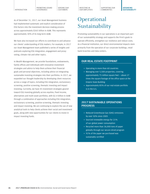As of December 31, 2017, our Asset Management business had implemented systematic and explicit consideration of ESG factors into the investment decision-making process across approximately \$365 billion in AUM. This represents

We have also increased our efforts to contribute to and advance our clients' understanding of ESG matters. For example, in 2017 our Asset Management team published a series of insights and podcasts exploring ESG integration, engagement and proxy

In Wealth Management, we provide foundations, endowments, family offices and individuals with innovative investment strategies and advice to help them achieve their financial

approximately 30% of its long-term AUM.

voting, climate risk and other topics.

[INVESTING IN](#page-15-0)  [OUR EMPLOYEES](#page-15-0) [SUPPORTING OUR](#page-20-0)  [COMMUNITIES](#page-20-0)

### **Operational** Sustainability

Promoting sustainability in our operations is an important part of our sustainability strategy and supports the Firm's goals to operate efficiently, strengthen our resilience and reduce costs. As a financial institution, our direct environmental impacts stem primarily from the operation of our corporate buildings, retail bank branches and data centers.

#### OUR REAL ESTATE FOOTPRINT

- + Operating in more than 60 countries
- + Managing over 5,500 properties, covering approximately 75 million square feet — about 27 times the square footage of the office space at the Empire State Building
- + Approximately 85% of our real estate portfolio is in the U.S.

#### 2017 SUSTAINABLE OPERATIONS **PROGRESS**

- + Reduced Greenhouse Gas (GHG) emissions by over 50% since 2005
- + Sourced renewable energy for 21% of our global power consumption
- + Recycled more than 36,000 tons of paper globally through our secure-shred program
- + 91% of the paper we purchased was sustainably certified

goals and personal objectives, including advice on integrating sustainable investing strategies into their portfolios. In 2017, we expanded our thought leadership by developing client resources across a range of topics, including ESG integration, exclusionary screening, positive screening, thematic investing and impact investing. Currently, we have 45 investment strategies geared toward ESG investing globally across equities, fixed income, alternatives and multi-asset portfolios, with \$2.4 billion in AUM through a combination of approaches including ESG integration, exclusionary screening, positive screening, thematic investing and impact investing. We are continuing to explore the use of new analytical tools to help clients achieve their social and investment goals, along with new opportunities for our clients to invest in impact investing funds.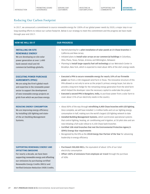### Reducing Our Carbon Footprint

In 2017, we announced a commitment to source renewable energy for 100% of our global power needs by 2020, a major step in our long-standing efforts to reduce our carbon footprint. Below is our strategy to meet this commitment and the progress we have made through year-end 2017:

| <b>HOW WE WILL DO IT</b>                                                                                                                                                                                                                                                               | <b>OUR PROGRESS</b>                                                                                                                                                                                                                                                                                                                                                                                                                                                                                                                                                                                                                                                                                                                                               |
|----------------------------------------------------------------------------------------------------------------------------------------------------------------------------------------------------------------------------------------------------------------------------------------|-------------------------------------------------------------------------------------------------------------------------------------------------------------------------------------------------------------------------------------------------------------------------------------------------------------------------------------------------------------------------------------------------------------------------------------------------------------------------------------------------------------------------------------------------------------------------------------------------------------------------------------------------------------------------------------------------------------------------------------------------------------------|
| <b>INSTALLING ON-SITE</b><br><b>RENEWABLE ENERGY</b><br>We are developing on-site solar<br>power generation at over 1,400<br>bank-owned retail and 40<br>commercial buildings globally.                                                                                                | + Started planning for a pilot installation of solar panels at 23 Chase branches in<br>California and New Jersey<br>+ Initiated plans to install solar arrays on our commercial buildings in Columbus,<br>Ohio; Plano, Texas; Tempe, Arizona; and Wilmington, Delaware<br>+ Planning to install large-capacity fuel cell technology at our Metrotech Center in<br>Brooklyn, New York, which is expected to meet about 48% of the site's energy needs                                                                                                                                                                                                                                                                                                              |
| <b>EXECUTING POWER PURCHASE</b><br><b>AGREEMENTS (PPAS)</b><br>We are using the Firm's global reach<br>and expertise in the renewable power<br>sector to support the development<br>of new renewable energy projects on<br>grids from which we purchase energy.                        | + Executed a PPA to secure renewable energy for nearly 10% of our firmwide<br>power use from a 100-megawatt wind farm in Texas. The innovative structure of this<br>PPA allowed us not only to serve as the project's primary energy buyer, but also to<br>provide a long-term hedge for the remaining energy generation from the wind farm<br>which helped the developer raise the necessary capital to undertake the project<br>+ Executed a second PPA in Bangalore, India, to purchase power from a solar farm to<br>cover about 15% of our electricity needs in the country                                                                                                                                                                                  |
| <b>REDUCING ENERGY CONSUMPTION</b><br>We are improving energy efficiency<br>by installing LED lighting and state-<br>of-the art Building Management<br>Systems.                                                                                                                        | + About 80% of the way through retrofitting 4,400 Chase branches with LED lighting.<br>Once complete, we will have installed 1.4 million bulbs and cut our lighting energy<br>consumption in half, making ours the world's largest LED lighting network to date<br>+ Installed Building Management Systems, which synchronize operational systems<br>that control lighting, heating, air conditioning and irrigation, at 50 pilot sites and are<br>now initiating a full-scale rollout to 4,100 Chase bank branches<br>+ Certified 108 retail branches that met the Environmental Protection Agency's<br>(EPA's) Energy Star requirements<br>+ Recognized by the EPA as the 2018 Energy Star Partner of the Year for advancing<br>leadership in energy efficiency |
| <b>SUPPORTING RENEWABLE ENERGY AND</b><br><b>OFFSETTING EMISSIONS</b><br>For nearly a decade, we have been<br>supporting renewable energy and offsetting<br>our emissions by purchasing certified<br>Renewable Energy Credits (RECs) and<br>Verified Emission Reduction (VER) Credits. | + Purchased 200,000 RECs, the equivalent of about 10% of our total<br>electricity consumption<br>+ Offset 100% of emissions from employee air travel through the purchase<br>of VERs                                                                                                                                                                                                                                                                                                                                                                                                                                                                                                                                                                              |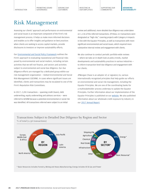[SERVING OUR](#page-12-0)  [CUSTOMERS](#page-12-0)

[INVESTING IN](#page-15-0)  [OUR EMPLOYEES](#page-15-0) [SUPPORTING OUR](#page-20-0)  [COMMUNITIES](#page-20-0)

**ADVANCING SUSTAINABILITY**

### Risk Management

Assessing our clients' approach and performance on environmental and social issues is an important component of the Firm's risk management process. It helps us make more informed decisions and enables us to offer insights and guidance on best practices when clients are seeking to access capital markets, provide disclosures to investors or improve sustainability efforts.

Our [Environmental and Social Policy Framework](https://www.jpmorganchase.com/corporate/Corporate-Responsibility/document/jpmc-environmental-and-social-policy-framework.pdf) outlines the Firm's approach to evaluating reputational and financial risks posed by environmental and social matters, including certain activities that we will not finance, and sectors and activities subject to environmental and social due diligence. Our due diligence efforts are managed by a dedicated group within our risk management organization — Global Environmental and Social Risk Management (GESRM). In cases where significant issues are identified, clients and transactions may be escalated to one of the Firm's Reputation Risk Committees.

In 2017, 2,281 transactions — spanning credit (loans), debt underwriting, equity underwriting and advisory services — were referred to GESRM because a potential environmental or social risk was identified. All transactions referred were subject to an initial

review and additional, more detailed due diligence was undertaken on 1,136 of the referred transactions. Of these, 61 transactions were designated as "high risk," covering projects with Category A impacts in line with the Equator Principles, as well as transactions with more significant environmental and social issues, which required more substantive internal review and engagement with clients.

We also continue to conduct periodic portfolio-wide reviews — where we take an in-depth look at policy trends, market developments and sustainability practices in various industries to inform transaction-level due diligence and engagement with our clients.

JPMorgan Chase is an adopter of, or signatory to, various internationally recognized principles that help guide our efforts on environmental and social risk management, including the Equator Principles. We are one of the coordinating banks for a multistakeholder process underway to update the Equator Principles. Further information about our implementation of the Equator Principles is published on our [website.](https://www.jpmorganchase.com/corporate/Corporate-Responsibility/equator-principles-report.htm) We also published information about our wholesale credit exposure by industry in our [2017 Annual Report.](https://www.jpmorganchase.com/corporate/investor-relations/document/annualreport-2017.pdf)



Transactions Subject to Detailed Due Diligence by Region and Sector

% of total (1,136 transactions)

\* Basic Resources includes Forestry, Mining and Heavy Manufacturing; Energy includes Oil & Gas and Power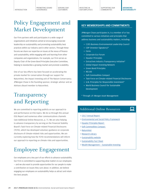[PROMOTING SOUND](#page-7-0) 

[SERVING OUR](#page-12-0)  [CUSTOMERS](#page-12-0)

# Policy Engagement and Market Development

Our Firm partners with and participates in a wide range of organizations and initiatives aimed at encouraging corporate leadership on sustainability and promoting sustainability best practices within our industry and in other sectors. Through these forums we share our expertise on issues at the nexus of finance and sustainability, while engaging with and learning from other companies and organizations. For example, our Firm serves as Deputy Chair of the Green Bond Principles Executive Committee, helping to standardize a growing market and promote scalability.

One of our key efforts has been focused on accelerating the private market for conservation through our support for NatureVest, the impact investing unit of The Nature Conservancy. JPMorgan Chase is the founding sponsor, strategic advisor and an Advisory Board member to NatureVest.

## Transparency and Reporting

We are committed to reporting publicly on our approach to and performance on ESG topics. We do so through this annual ESG Report and numerous other communications channels (see Additional Online Resources, p. 7). We are also helping to advance transparency by serving on the Financial Stability Board's Task Force on Climate-related Financial Disclosures (TCFD), which has developed voluntary guidance on corporate disclosure of climate-related risks and opportunities. We are currently exploring how the TCFD recommendations will inform our approach to reporting on climate risks and opportunities.

# Employee Engagement

Our employees are a key part of our efforts to advance sustainability. Our Firm is committed to supporting what matters to our employees — and we also want to provide opportunities for our people to make a contribution on issues they care about. In addition, we believe engaging our employees on sustainability helps us attract and retain the best people.

#### KEY MEMBERSHIPS AND COMMITMENTS

JPMorgan Chase participates in, is a member of or has committed to various initiatives and principles that address business and sustainability matters, including:

- + C2ES Business Environmental Leadership Council
- + CDP (Investor Signatory)\*
- + Ceres
- + Corporate Eco Forum
- + Equator Principles
- + Extractives Industry Transparency Initiative\*
- + Global Impact Investing Network
- + Green Bond Principles
- + RE100
- + Soft Commodities Compact
- + Task Force on Climate-related Financial Disclosures
- + U.N. Principles for Responsible Investment\*
- + World Business Council for Sustainable Development
- \* Through J.P. Morgan Asset Management

### Additional Online Resources

- ö [2017 Annual Report](https://www.jpmorganchase.com/corporate/investor-relations/document/annualreport-2017.pdf)
- ö [Environmental and Social Policy Framework](https://www.jpmorganchase.com/corporate/Corporate-Responsibility/document/jpmc-environmental-and-social-policy-framework.pdf)
- ö [Equator Principles Report](https://www.jpmorganchase.com/corporate/Corporate-Responsibility/equator-principles-report.htm)
- ö [Soft Commodities Compact](https://www.jpmorganchase.com/corporate/Corporate-Responsibility/soft-commodities-compact-report.htm)
- ö [NatureVest](https://www.jpmorganchase.com/corporate/Corporate-Responsibility/es-naturevest.htm)
- ö [Research Library](https://www.jpmorganchase.com/corporate/Corporate-Responsibility/es-research.htm)
- > [Sustainability website](https://www.jpmorganchase.com/corporate/Corporate-Responsibility/environment.htm)
- > [Sustainability Fact Sheet](https://www.jpmorganchase.com/corporate/Corporate-Responsibility/document/jpmc-cr-sustainability-fact-sheet.pdf)
- ö [Wealth Management Sustainable Investing](https://am.jpmorgan.com/private-bank/public/gl/en/sustainable-investing)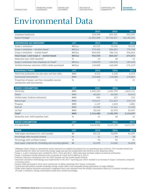[SUPPORTING OUR](#page-20-0)  [COMMUNITIES](#page-20-0)

# Environmental Data

|                                                                                |                     | 2015       | 2016       | 2017       |
|--------------------------------------------------------------------------------|---------------------|------------|------------|------------|
| Employee headcount                                                             |                     | 234,598    | 243,355    | 252,539    |
| Square footage <sup>1</sup>                                                    |                     | 61,401,409 | 59,736,427 | 58,140,356 |
| <b>GREENHOUSE GAS EMISSIONS<sup>2</sup></b>                                    | <b>UNIT</b>         | 2015       | 2016       | 2017       |
| Scope 1 emissions <sup>3</sup>                                                 | MtCO <sub>2</sub> e | 82,525     | 79,556     | 78,229     |
| Scope 2 emissions - location-based                                             | MtCO <sub>2</sub> e | 979,445    | 906,093    | 770,704    |
| Scope 2 emissions - market-based                                               | MtCO <sub>2</sub> e | 844,403    | 780,710    | 596,843    |
| Total Scope 1 and Scope 2 - market-based                                       | MtCO <sub>2</sub> e | 926,928    | 860,267    | 675,073    |
| Reduction over 2005 baseline <sup>4</sup>                                      | $\frac{0}{0}$       | 33         | 38         | 52         |
| Scope 3 emissions from employee air travel <sup>5</sup>                        | MtCO <sub>2</sub> e | 138,878    | 130,430    | 187,020    |
| Verified emission reduction (VER) credits purchased                            | MtCO <sub>2</sub> e | 150,000    | 160,000    | 175,1556   |
| <b>RENEWABLE POWER</b>                                                         | <b>UNIT</b>         | 2015       | 2016       | 2017       |
| Electricity production (on-site solar and fuel cells)                          | MWh                 | 4,353      | 5,328      | 6,472      |
| Contractual instruments <sup>7</sup>                                           | <b>MWh</b>          | 210,000    | 210,000    | 370,801    |
| Proportion of power use from renewable sources<br>(production and instruments) | $\frac{0}{0}$       | 11         | 11         | 21         |
|                                                                                |                     |            |            |            |
| <b>ENERGY CONSUMPTION</b>                                                      | <b>UNIT</b>         | 2015       | 2016       | 2017       |
| Electricity                                                                    | MWh                 | 1,992,529  | 1,942,799  | 1,823,121  |
| Steam                                                                          | <b>MWh</b>          | 40,665     | 30,284     | 30,423     |
| Chilled water (indirect emissions)                                             | <b>MWh</b>          | 495        | 327        | 222        |
| Natural gas                                                                    | <b>MWh</b>          | 234,621    | 221,823    | 224,119    |
| Propane                                                                        | MWh                 | 1,147      | 1,034      | 1,081      |
| Fuel oil                                                                       | MWh                 | 16,490     | 11,161     | 12,283     |
| Jet fuel                                                                       | MWh                 | 30,534     | 32,970     | 33,447     |
| Total <sup>8</sup>                                                             | <b>MWh</b>          | 2,316,480  | 2,240,399  | 2,124,697  |
| Reduction over 2005 baseline (net)                                             | $\frac{0}{0}$       | 27         | 28         | 31         |
| <b>WATER CONSUMPTION</b>                                                       | <b>UNIT</b>         | 2015       | 2016       | 2017       |
| U.S. operations                                                                | m <sup>3</sup>      | 5,014,959  | 5,127,749  | 5,611,797  |
| <b>PAPER</b>                                                                   | <b>UNIT</b>         | 2015       | 2016       | 2017       |
| Total paper purchased (U.S. and Canada)                                        | Mt                  | 69,132     | 70,099     | 45,397     |
| Percentage with recycled content                                               | $\frac{0}{0}$       | 31         | 44         | 28         |
| Percentage with certified content                                              | $\frac{0}{0}$       | 93         | 92         | 91         |
| Total paper collected for shredding and recycling (global)                     | Mt                  | 42,699     | 33,606     | 36,004     |

<sup>1</sup> JPMorgan Chase utilizes an operational control approach to establish boundaries for our greenhouse gas inventory. This includes owned and<br>leased facilities for which we control the energy usage and pay the energy/utili

<sup>2</sup> Scope 1, 2 and 3 emissions were verified for 2015, 2016 and 2017. Other data have not been subject to external verification.<br><sup>3</sup> Scope 1 emissions include emissions from corporate air travel (8,916 MtCO<sub>2</sub>e in 2017).

<sup>4</sup> Emission reduction calculations over the 2005 baseline use the market-based method.<br><sup>5</sup> Improved calculation methodology was implemented in the 2017 reporting year which resulted in an increase in Scope 3 emissions com

 $\frac{6}{1}$  Surplus VERs purchased in 2016 were carried over to offset remaining 2017 Scope 3 emissions<br>7 Contractual instruments include renewable energy credits (RECs) and renewable energy guarantees of origin (REGOs).

<sup>8</sup> Chiller plant fugitive emissions expressed in megawatt hours was removed from the energy consumption table as it is already included as part of Scope 1 emissions. Energy consumption totals were revised accordingly.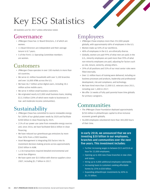# <span id="page-30-0"></span>Key ESG Statistics

All statistics are for 2017 unless otherwise noted.

### Governance

- + JPMorgan Chase has 12 Board Directors, 2 of which are women.
- + 11 Board Directors are independent and their average tenure is 8.7 years.
- + 5 of the Firm's 11 Operating Committee members are women.

### Customers

- + JPMorgan Chase operates in over 100 markets in more than 60 countries.
- + We serve 61 million households with over 5,100 branches and over 16,000 ATMs across the U.S.
- + We have 46.7 million active digital users, including 30.1 million active mobile users.
- + We serve 4 million small business customers.
- + We originated nearly 622,000 small business loans, totaling \$13.3 billion (20% of which were made to businesses in low- and moderate-income communities).

# Sustainability

- + JPMorgan Chase has committed to source renewable energy for 100% of our global power needs by 2020 and facilitate \$200 billion in clean financing by 2025.
- + 21% of our power use came from renewable energy sources and, since 2016, we have facilitated \$60.6 billion in clean financing.
- + We have reduced our greenhouse gas emissions by more than 50% from a 2005 baseline.
- + Asset Management is integrating ESG factors into its investment decision-making process across approximately \$365 billion in AUM.
- + 1,136 transactions required detailed environmental and social due diligence.
- + We have spent over \$15 billion with diverse suppliers since 2007, including \$1.7 billion in 2017.

### Employees

+ JPMorgan Chase employs more than 252,000 people globally, with approximately 68% of employees in the U.S.

- + Women make up 50% of our workforce.
- + 48% of employees in the U.S. are ethnically diverse.
- + Globally, women are paid 99% of what men are paid; in the U.S., minority employees are paid more than 99% of what non-minority employees are paid, adjusting for factors such as role, tenure, seniority, among others.
- + 39% of all positions and 55% of our most senior roles were filled internally.
- + Over 11 million hours of training were delivered, including on business processes and products, leadership and professional development, risk and compliance, and technology.
- + We have hired more than 12,000 U.S. veterans since 2011, including over 1,400 in 2017.
- + We offer 16 weeks of fully paid parental leave time globally for primary caregivers.

### Communities

- + The JPMorgan Chase Foundation deployed approximately \$250 million in philanthropic capital to drive inclusive economic growth globally.
- + 56,000 employees volunteered more than 383,000 hours of their time.

### In early 2018, we announced that we are investing \$20 billion in our employees, branches and communities over the next five years. This investment includes:

- + Further increasing wages to between \$15 and \$18 an hour for 22,000 employees.
- + Opening up to 400 new Chase branches in new cities and states.
- + Hiring up to 4,000 additional employees nationwide.
- + Increasing loans to customers seeking affordable homes by 25% to \$50 billion.
- + Expanding philanthropic investments by 40% to \$1.75 billion.